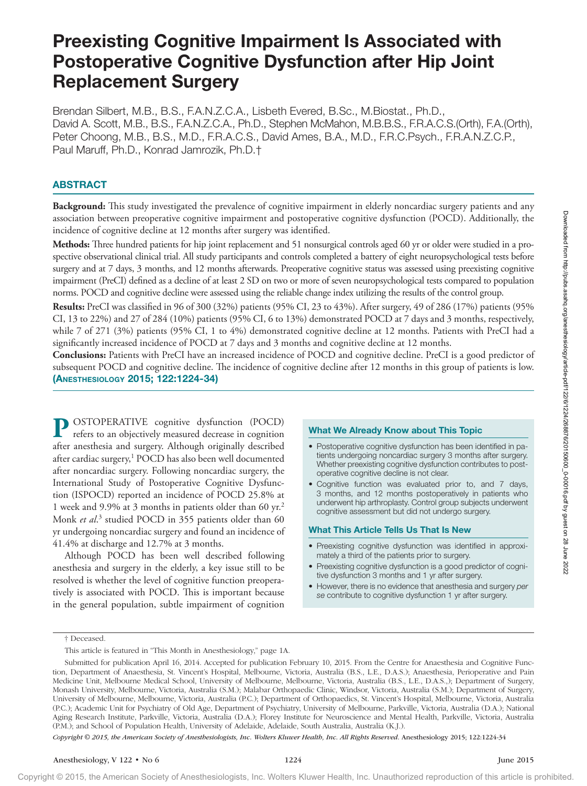# Preexisting Cognitive Impairment Is Associated with Postoperative Cognitive Dysfunction after Hip Joint Replacement Surgery

Brendan Silbert, M.B., B.S., F.A.N.Z.C.A., Lisbeth Evered, B.Sc., M.Biostat., Ph.D., David A. Scott, M.B., B.S., F.A.N.Z.C.A., Ph.D., Stephen McMahon, M.B.B.S., F.R.A.C.S.(Orth), F.A.(Orth), Peter Choong, M.B., B.S., M.D., F.R.A.C.S., David Ames, B.A., M.D., F.R.C.Psych., F.R.A.N.Z.C.P., Paul Maruff, Ph.D., Konrad Jamrozik, Ph.D.†

# ABSTRACT

**Background:** This study investigated the prevalence of cognitive impairment in elderly noncardiac surgery patients and any association between preoperative cognitive impairment and postoperative cognitive dysfunction (POCD). Additionally, the incidence of cognitive decline at 12 months after surgery was identified.

**Methods:** Three hundred patients for hip joint replacement and 51 nonsurgical controls aged 60 yr or older were studied in a prospective observational clinical trial. All study participants and controls completed a battery of eight neuropsychological tests before surgery and at 7 days, 3 months, and 12 months afterwards. Preoperative cognitive status was assessed using preexisting cognitive impairment (PreCI) defined as a decline of at least 2 SD on two or more of seven neuropsychological tests compared to population norms. POCD and cognitive decline were assessed using the reliable change index utilizing the results of the control group.

**Results:** PreCI was classified in 96 of 300 (32%) patients (95% CI, 23 to 43%). After surgery, 49 of 286 (17%) patients (95% CI, 13 to 22%) and 27 of 284 (10%) patients (95% CI, 6 to 13%) demonstrated POCD at 7 days and 3 months, respectively, while 7 of 271 (3%) patients (95% CI, 1 to 4%) demonstrated cognitive decline at 12 months. Patients with PreCI had a significantly increased incidence of POCD at 7 days and 3 months and cognitive decline at 12 months.

**Conclusions:** Patients with PreCI have an increased incidence of POCD and cognitive decline. PreCI is a good predictor of subsequent POCD and cognitive decline. The incidence of cognitive decline after 12 months in this group of patients is low. (Anesthesiology 2015; 122:1224-34)

**P** OSTOPERATIVE cognitive dysfunction (POCD) refers to an objectively measured decrease in cognition after anesthesia and surgery. Although originally described after cardiac surgery,<sup>1</sup> POCD has also been well documented after noncardiac surgery. Following noncardiac surgery, the International Study of Postoperative Cognitive Dysfunction (ISPOCD) reported an incidence of POCD 25.8% at 1 week and 9.9% at 3 months in patients older than 60 yr.2 Monk *et al.*<sup>3</sup> studied POCD in 355 patients older than 60 yr undergoing noncardiac surgery and found an incidence of 41.4% at discharge and 12.7% at 3 months.

Although POCD has been well described following anesthesia and surgery in the elderly, a key issue still to be resolved is whether the level of cognitive function preoperatively is associated with POCD. This is important because in the general population, subtle impairment of cognition

## What We Already Know about This Topic

- Postoperative cognitive dysfunction has been identified in patients undergoing noncardiac surgery 3 months after surgery. Whether preexisting cognitive dysfunction contributes to postoperative cognitive decline is not clear.
- • Cognitive function was evaluated prior to, and 7 days, 3 months, and 12 months postoperatively in patients who underwent hip arthroplasty. Control group subjects underwent cognitive assessment but did not undergo surgery.

#### What This Article Tells Us That Is New

- Preexisting cognitive dysfunction was identified in approximately a third of the patients prior to surgery.
- Preexisting cognitive dysfunction is a good predictor of cognitive dysfunction 3 months and 1 yr after surgery.
- • However, there is no evidence that anesthesia and surgery *per se* contribute to cognitive dysfunction 1 yr after surgery.

*Copyright © 2015, the American Society of Anesthesiologists, Inc. Wolters Kluwer Health, Inc. All Rights Reserved.* Anesthesiology 2015; 122:1224-34

<sup>†</sup> Deceased.

This article is featured in "This Month in Anesthesiology," page 1A.

Submitted for publication April 16, 2014. Accepted for publication February 10, 2015. From the Centre for Anaesthesia and Cognitive Function, Department of Anaesthesia, St. Vincent's Hospital, Melbourne, Victoria, Australia (B.S., L.E., D.A.S.); Anaesthesia, Perioperative and Pain Medicine Unit, Melbourne Medical School, University of Melbourne, Melbourne, Victoria, Australia (B.S., L.E., D.A.S.,); Department of Surgery, Monash University, Melbourne, Victoria, Australia (S.M.); Malabar Orthopaedic Clinic, Windsor, Victoria, Australia (S.M.); Department of Surgery, University of Melbourne, Melbourne, Victoria, Australia (P.C.); Department of Orthopaedics, St. Vincent's Hospital, Melbourne, Victoria, Australia (P.C.); Academic Unit for Psychiatry of Old Age, Department of Psychiatry, University of Melbourne, Parkville, Victoria, Australia (D.A.); National Aging Research Institute, Parkville, Victoria, Australia (D.A.); Florey Institute for Neuroscience and Mental Health, Parkville, Victoria, Australia (P.M.); and School of Population Health, University of Adelaide, Adelaide, South Australia, Australia (K.J.). associates these measures proteins as principalment and possperint copitive dynamics (TVA3)). Additionally, the<br>
Mediant internalization for the internalization of the internalization of the internalization of the state o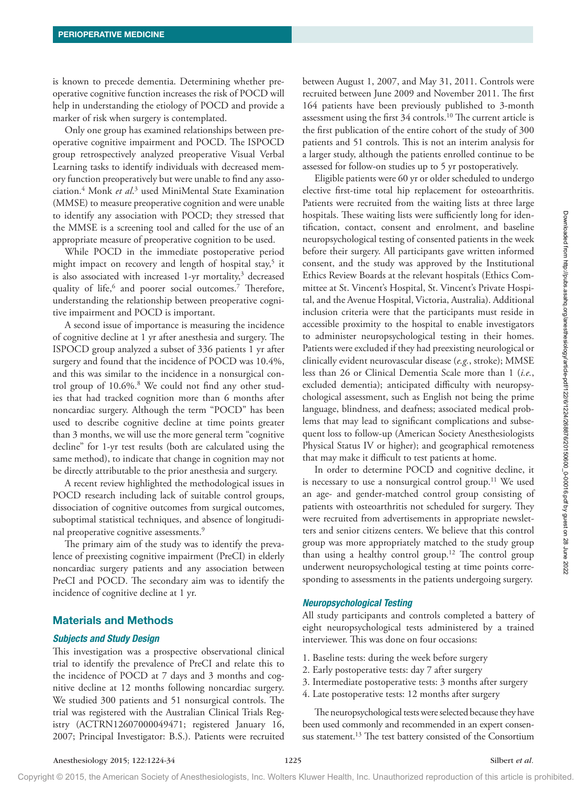is known to precede dementia. Determining whether preoperative cognitive function increases the risk of POCD will help in understanding the etiology of POCD and provide a marker of risk when surgery is contemplated.

Only one group has examined relationships between preoperative cognitive impairment and POCD. The ISPOCD group retrospectively analyzed preoperative Visual Verbal Learning tasks to identify individuals with decreased memory function preoperatively but were unable to find any association.4 Monk *et al*. 3 used MiniMental State Examination (MMSE) to measure preoperative cognition and were unable to identify any association with POCD; they stressed that the MMSE is a screening tool and called for the use of an appropriate measure of preoperative cognition to be used.

While POCD in the immediate postoperative period might impact on recovery and length of hospital stay,<sup>5</sup> it is also associated with increased 1-yr mortality,<sup>3</sup> decreased quality of life,<sup>6</sup> and poorer social outcomes.<sup>7</sup> Therefore, understanding the relationship between preoperative cognitive impairment and POCD is important.

A second issue of importance is measuring the incidence of cognitive decline at 1 yr after anesthesia and surgery. The ISPOCD group analyzed a subset of 336 patients 1 yr after surgery and found that the incidence of POCD was 10.4%, and this was similar to the incidence in a nonsurgical control group of 10.6%.8 We could not find any other studies that had tracked cognition more than 6 months after noncardiac surgery. Although the term "POCD" has been used to describe cognitive decline at time points greater than 3 months, we will use the more general term "cognitive decline" for 1-yr test results (both are calculated using the same method), to indicate that change in cognition may not be directly attributable to the prior anesthesia and surgery.

A recent review highlighted the methodological issues in POCD research including lack of suitable control groups, dissociation of cognitive outcomes from surgical outcomes, suboptimal statistical techniques, and absence of longitudinal preoperative cognitive assessments.<sup>9</sup>

The primary aim of the study was to identify the prevalence of preexisting cognitive impairment (PreCI) in elderly noncardiac surgery patients and any association between PreCI and POCD. The secondary aim was to identify the incidence of cognitive decline at 1 yr.

# Materials and Methods

#### *Subjects and Study Design*

This investigation was a prospective observational clinical trial to identify the prevalence of PreCI and relate this to the incidence of POCD at 7 days and 3 months and cognitive decline at 12 months following noncardiac surgery. We studied 300 patients and 51 nonsurgical controls. The trial was registered with the Australian Clinical Trials Registry (ACTRN12607000049471; registered January 16, 2007; Principal Investigator: B.S.). Patients were recruited

between August 1, 2007, and May 31, 2011. Controls were recruited between June 2009 and November 2011. The first 164 patients have been previously published to 3-month assessment using the first 34 controls.10 The current article is the first publication of the entire cohort of the study of 300 patients and 51 controls. This is not an interim analysis for a larger study, although the patients enrolled continue to be assessed for follow-on studies up to 5 yr postoperatively.

Eligible patients were 60 yr or older scheduled to undergo elective first-time total hip replacement for osteoarthritis. Patients were recruited from the waiting lists at three large hospitals. These waiting lists were sufficiently long for identification, contact, consent and enrolment, and baseline neuropsychological testing of consented patients in the week before their surgery. All participants gave written informed consent, and the study was approved by the Institutional Ethics Review Boards at the relevant hospitals (Ethics Committee at St. Vincent's Hospital, St. Vincent's Private Hospital, and the Avenue Hospital, Victoria, Australia). Additional inclusion criteria were that the participants must reside in accessible proximity to the hospital to enable investigators to administer neuropsychological testing in their homes. Patients were excluded if they had preexisting neurological or clinically evident neurovascular disease (*e.g.*, stroke); MMSE less than 26 or Clinical Dementia Scale more than 1 (*i.e.*, excluded dementia); anticipated difficulty with neuropsychological assessment, such as English not being the prime language, blindness, and deafness; associated medical problems that may lead to significant complications and subsequent loss to follow-up (American Society Anesthesiologists Physical Status IV or higher); and geographical remoteness that may make it difficult to test patients at home. In both Spatial and Weyl And both the possion for a bosonical like while both spatial and the spatial and the spatial and the spatial and the spatial and the spatial and the spatial and the spatial and the spatial and the

In order to determine POCD and cognitive decline, it is necessary to use a nonsurgical control group.<sup>11</sup> We used an age- and gender-matched control group consisting of patients with osteoarthritis not scheduled for surgery. They were recruited from advertisements in appropriate newsletters and senior citizens centers. We believe that this control group was more appropriately matched to the study group than using a healthy control group.<sup>12</sup> The control group underwent neuropsychological testing at time points corresponding to assessments in the patients undergoing surgery.

## *Neuropsychological Testing*

All study participants and controls completed a battery of eight neuropsychological tests administered by a trained interviewer. This was done on four occasions:

- 1. Baseline tests: during the week before surgery
- 2. Early postoperative tests: day 7 after surgery
- 3. Intermediate postoperative tests: 3 months after surgery
- 4. Late postoperative tests: 12 months after surgery

The neuropsychological tests were selected because they have been used commonly and recommended in an expert consensus statement.<sup>13</sup> The test battery consisted of the Consortium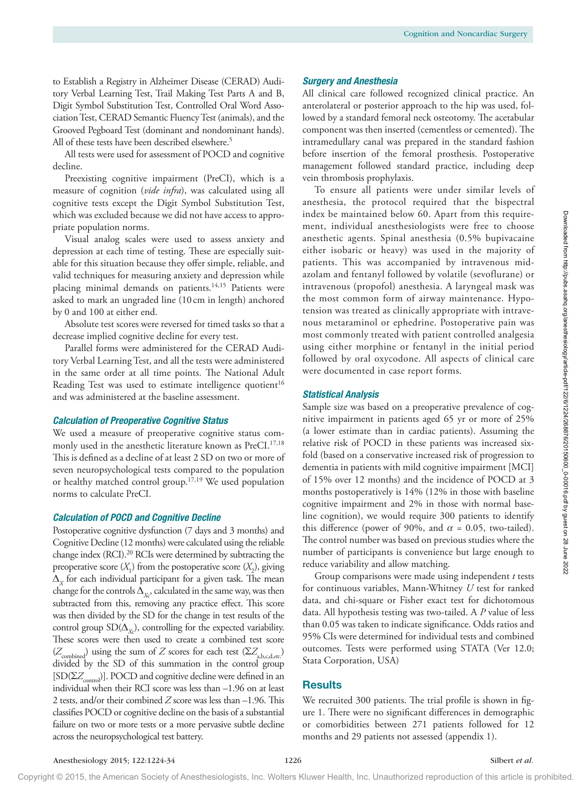to Establish a Registry in Alzheimer Disease (CERAD) Auditory Verbal Learning Test, Trail Making Test Parts A and B, Digit Symbol Substitution Test, Controlled Oral Word Association Test, CERAD Semantic Fluency Test (animals), and the Grooved Pegboard Test (dominant and nondominant hands). All of these tests have been described elsewhere.<sup>5</sup>

All tests were used for assessment of POCD and cognitive decline.

Preexisting cognitive impairment (PreCI), which is a measure of cognition (*vide infra*), was calculated using all cognitive tests except the Digit Symbol Substitution Test, which was excluded because we did not have access to appropriate population norms.

Visual analog scales were used to assess anxiety and depression at each time of testing. These are especially suitable for this situation because they offer simple, reliable, and valid techniques for measuring anxiety and depression while placing minimal demands on patients.<sup>14,15</sup> Patients were asked to mark an ungraded line (10 cm in length) anchored by 0 and 100 at either end.

Absolute test scores were reversed for timed tasks so that a decrease implied cognitive decline for every test.

Parallel forms were administered for the CERAD Auditory Verbal Learning Test, and all the tests were administered in the same order at all time points. The National Adult Reading Test was used to estimate intelligence quotient<sup>16</sup> and was administered at the baseline assessment.

#### *Calculation of Preoperative Cognitive Status*

We used a measure of preoperative cognitive status commonly used in the anesthetic literature known as PreCI.<sup>17,18</sup> This is defined as a decline of at least 2 SD on two or more of seven neuropsychological tests compared to the population or healthy matched control group.17,19 We used population norms to calculate PreCI.

#### *Calculation of POCD and Cognitive Decline*

Postoperative cognitive dysfunction (7 days and 3 months) and Cognitive Decline (12 months) were calculated using the reliable change index (RCI).<sup>20</sup> RCIs were determined by subtracting the preoperative score  $(X_1)$  from the postoperative score  $(X_2)$ , giving  $\Delta_X$  for each individual participant for a given task. The mean change for the controls  $\Delta_{\chi_{\rm c}^{\rm o}}$  calculated in the same way, was then subtracted from this, removing any practice effect. This score was then divided by the SD for the change in test results of the control group  $SD(\Delta_{X_c})$ , controlling for the expected variability. These scores were then used to create a combined test score  $(Z_{\text{combined}})$  using the sum of  $Z$  scores for each test  $(\Sigma Z_{\text{a,b,c,d,etc.}})$ divided by the SD of this summation in the control group  $[SD(\Sigma Z_{control})]$ . POCD and cognitive decline were defined in an individual when their RCI score was less than –1.96 on at least 2 tests, and/or their combined *Z* score was less than –1.96. This classifies POCD or cognitive decline on the basis of a substantial failure on two or more tests or a more pervasive subtle decline across the neuropsychological test battery. which was mediated because we distribute a metric of the structure about A structure and the form for the structure of the structure of the structure of the structure of the structure of the structure of the structure of

#### *Surgery and Anesthesia*

All clinical care followed recognized clinical practice. An anterolateral or posterior approach to the hip was used, followed by a standard femoral neck osteotomy. The acetabular component was then inserted (cementless or cemented). The intramedullary canal was prepared in the standard fashion before insertion of the femoral prosthesis. Postoperative management followed standard practice, including deep vein thrombosis prophylaxis.

To ensure all patients were under similar levels of anesthesia, the protocol required that the bispectral index be maintained below 60. Apart from this requirement, individual anesthesiologists were free to choose anesthetic agents. Spinal anesthesia (0.5% bupivacaine either isobaric or heavy) was used in the majority of patients. This was accompanied by intravenous midazolam and fentanyl followed by volatile (sevoflurane) or intravenous (propofol) anesthesia. A laryngeal mask was the most common form of airway maintenance. Hypotension was treated as clinically appropriate with intravenous metaraminol or ephedrine. Postoperative pain was most commonly treated with patient controlled analgesia using either morphine or fentanyl in the initial period followed by oral oxycodone. All aspects of clinical care were documented in case report forms.

#### *Statistical Analysis*

Sample size was based on a preoperative prevalence of cognitive impairment in patients aged 65 yr or more of 25% (a lower estimate than in cardiac patients). Assuming the relative risk of POCD in these patients was increased sixfold (based on a conservative increased risk of progression to dementia in patients with mild cognitive impairment [MCI] of 15% over 12 months) and the incidence of POCD at 3 months postoperatively is 14% (12% in those with baseline cognitive impairment and 2% in those with normal baseline cognition), we would require 300 patients to identify this difference (power of 90%, and  $\alpha$  = 0.05, two-tailed). The control number was based on previous studies where the number of participants is convenience but large enough to reduce variability and allow matching.

Group comparisons were made using independent *t* tests for continuous variables, Mann-Whitney *U* test for ranked data, and chi-square or Fisher exact test for dichotomous data. All hypothesis testing was two-tailed. A *P* value of less than 0.05 was taken to indicate significance. Odds ratios and 95% CIs were determined for individual tests and combined outcomes. Tests were performed using STATA (Ver 12.0; Stata Corporation, USA)

## **Results**

We recruited 300 patients. The trial profile is shown in figure 1. There were no significant differences in demographic or comorbidities between 271 patients followed for 12 months and 29 patients not assessed (appendix 1).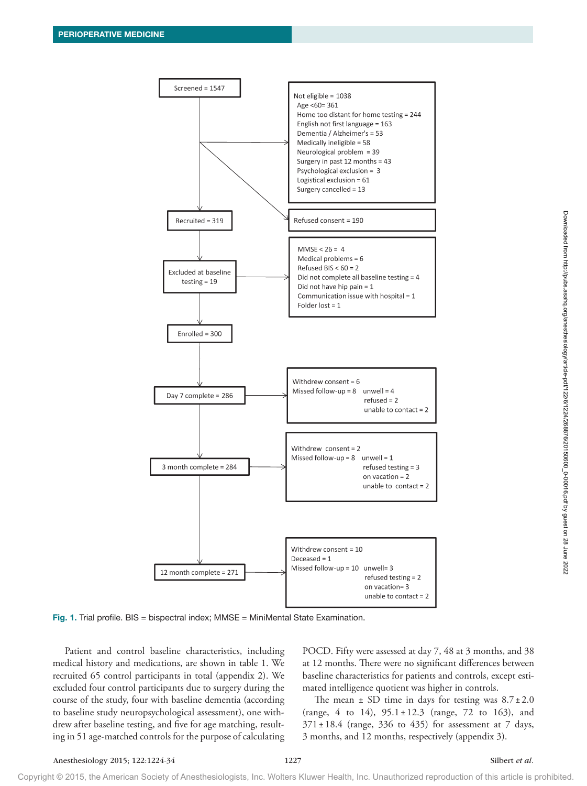

Fig. 1. Trial profile. BIS = bispectral index; MMSE = MiniMental State Examination.

Patient and control baseline characteristics, including medical history and medications, are shown in table 1. We recruited 65 control participants in total (appendix 2). We excluded four control participants due to surgery during the course of the study, four with baseline dementia (according to baseline study neuropsychological assessment), one withdrew after baseline testing, and five for age matching, resulting in 51 age-matched controls for the purpose of calculating POCD. Fifty were assessed at day 7, 48 at 3 months, and 38 at 12 months. There were no significant differences between baseline characteristics for patients and controls, except estimated intelligence quotient was higher in controls.

The mean  $\pm$  SD time in days for testing was  $8.7 \pm 2.0$ (range, 4 to 14),  $95.1 \pm 12.3$  (range, 72 to 163), and  $371 \pm 18.4$  (range, 336 to 435) for assessment at 7 days, 3 months, and 12 months, respectively (appendix 3).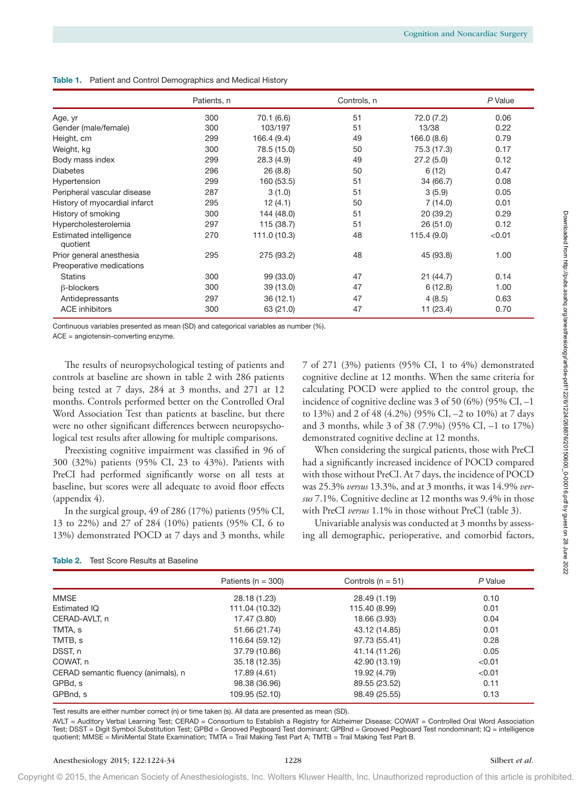|  | <b>Table 1.</b> Patient and Control Demographics and Medical History |  |
|--|----------------------------------------------------------------------|--|
|--|----------------------------------------------------------------------|--|

|                                    | Patients, n |              | Controls, n |             | P Value |
|------------------------------------|-------------|--------------|-------------|-------------|---------|
| Age, yr                            | 300         | 70.1 (6.6)   | 51          | 72.0 (7.2)  | 0.06    |
| Gender (male/female)               | 300         | 103/197      | 51          | 13/38       | 0.22    |
| Height, cm                         | 299         | 166.4 (9.4)  | 49          | 166.0 (8.6) | 0.79    |
| Weight, kg                         | 300         | 78.5 (15.0)  | 50          | 75.3 (17.3) | 0.17    |
| Body mass index                    | 299         | 28.3(4.9)    | 49          | 27.2(5.0)   | 0.12    |
| <b>Diabetes</b>                    | 296         | 26(8.8)      | 50          | 6(12)       | 0.47    |
| Hypertension                       | 299         | 160 (53.5)   | 51          | 34 (66.7)   | 0.08    |
| Peripheral vascular disease        | 287         | 3(1.0)       | 51          | 3(5.9)      | 0.05    |
| History of myocardial infarct      | 295         | 12(4.1)      | 50          | 7(14.0)     | 0.01    |
| History of smoking                 | 300         | 144 (48.0)   | 51          | 20(39.2)    | 0.29    |
| Hypercholesterolemia               | 297         | 115 (38.7)   | 51          | 26(51.0)    | 0.12    |
| Estimated intelligence<br>quotient | 270         | 111.0 (10.3) | 48          | 115.4(9.0)  | < 0.01  |
| Prior general anesthesia           | 295         | 275 (93.2)   | 48          | 45 (93.8)   | 1.00    |
| Preoperative medications           |             |              |             |             |         |
| <b>Statins</b>                     | 300         | 99 (33.0)    | 47          | 21(44.7)    | 0.14    |
| $\beta$ -blockers                  | 300         | 39 (13.0)    | 47          | 6(12.8)     | 1.00    |
| Antidepressants                    | 297         | 36(12.1)     | 47          | 4(8.5)      | 0.63    |
| <b>ACE</b> inhibitors              | 300         | 63 (21.0)    | 47          | 11 (23.4)   | 0.70    |

| Table 2. | Test Score Results at Baseline |  |  |
|----------|--------------------------------|--|--|
|          |                                |  |  |

| Hypercholesterolemia                                                                                                                                                                                                                                                                                                                                                                                                                                                                                                                                             | 297 | 115 (38.7)                      | 51                                                                                                                                                                                                                                                                                                                                                                                                                                                                                | 26 (51.0)                                                 | 0.12    |
|------------------------------------------------------------------------------------------------------------------------------------------------------------------------------------------------------------------------------------------------------------------------------------------------------------------------------------------------------------------------------------------------------------------------------------------------------------------------------------------------------------------------------------------------------------------|-----|---------------------------------|-----------------------------------------------------------------------------------------------------------------------------------------------------------------------------------------------------------------------------------------------------------------------------------------------------------------------------------------------------------------------------------------------------------------------------------------------------------------------------------|-----------------------------------------------------------|---------|
|                                                                                                                                                                                                                                                                                                                                                                                                                                                                                                                                                                  |     |                                 |                                                                                                                                                                                                                                                                                                                                                                                                                                                                                   |                                                           |         |
| Estimated intelligence<br>quotient                                                                                                                                                                                                                                                                                                                                                                                                                                                                                                                               | 270 | 111.0 (10.3)                    | 48                                                                                                                                                                                                                                                                                                                                                                                                                                                                                | 115.4(9.0)                                                | < 0.01  |
| Prior general anesthesia                                                                                                                                                                                                                                                                                                                                                                                                                                                                                                                                         | 295 | 275 (93.2)                      | 48                                                                                                                                                                                                                                                                                                                                                                                                                                                                                | 45 (93.8)                                                 | 1.00    |
| Preoperative medications                                                                                                                                                                                                                                                                                                                                                                                                                                                                                                                                         |     |                                 |                                                                                                                                                                                                                                                                                                                                                                                                                                                                                   |                                                           |         |
| <b>Statins</b>                                                                                                                                                                                                                                                                                                                                                                                                                                                                                                                                                   | 300 | 99 (33.0)                       | 47                                                                                                                                                                                                                                                                                                                                                                                                                                                                                | 21(44.7)                                                  | 0.14    |
| $\beta$ -blockers                                                                                                                                                                                                                                                                                                                                                                                                                                                                                                                                                | 300 | 39 (13.0)                       | 47                                                                                                                                                                                                                                                                                                                                                                                                                                                                                | 6(12.8)                                                   | 1.00    |
| Antidepressants                                                                                                                                                                                                                                                                                                                                                                                                                                                                                                                                                  | 297 | 36(12.1)                        | 47                                                                                                                                                                                                                                                                                                                                                                                                                                                                                | 4(8.5)                                                    | 0.63    |
| <b>ACE</b> inhibitors                                                                                                                                                                                                                                                                                                                                                                                                                                                                                                                                            | 300 | 63 (21.0)                       | 47                                                                                                                                                                                                                                                                                                                                                                                                                                                                                | 11 (23.4)                                                 | 0.70    |
| Continuous variables presented as mean (SD) and categorical variables as number (%).<br>$ACE = angiotensin-converting enzyme.$                                                                                                                                                                                                                                                                                                                                                                                                                                   |     |                                 |                                                                                                                                                                                                                                                                                                                                                                                                                                                                                   |                                                           |         |
| The results of neuropsychological testing of patients and<br>controls at baseline are shown in table 2 with 286 patients<br>being tested at 7 days, 284 at 3 months, and 271 at 12<br>months. Controls performed better on the Controlled Oral<br>Word Association Test than patients at baseline, but there<br>were no other significant differences between neuropsycho-<br>logical test results after allowing for multiple comparisons.<br>Preexisting cognitive impairment was classified in 96 of<br>300 (32%) patients (95% CI, 23 to 43%). Patients with |     |                                 | 7 of 271 (3%) patients (95% CI, 1 to 4%) demonstrated<br>cognitive decline at 12 months. When the same criteria for<br>calculating POCD were applied to the control group, the<br>incidence of cognitive decline was 3 of 50 (6%) (95% CI, $-1$<br>to 13%) and 2 of 48 (4.2%) (95% CI, -2 to 10%) at 7 days<br>and 3 months, while 3 of 38 (7.9%) (95% CI, -1 to 17%)<br>demonstrated cognitive decline at 12 months.<br>had a significantly increased incidence of POCD compared | When considering the surgical patients, those with PreCI  |         |
| In the surgical group, 49 of 286 (17%) patients (95% CI,                                                                                                                                                                                                                                                                                                                                                                                                                                                                                                         |     |                                 | with those without PreCI. At 7 days, the incidence of POCD<br>was 25.3% versus 13.3%, and at 3 months, it was 14.9% ver-<br>sus 7.1%. Cognitive decline at 12 months was 9.4% in those<br>with PreCI versus 1.1% in those without PreCI (table 3).<br>ing all demographic, perioperative, and comorbid factors,                                                                                                                                                                   | Univariable analysis was conducted at 3 months by assess- |         |
|                                                                                                                                                                                                                                                                                                                                                                                                                                                                                                                                                                  |     | Patients ( $n = 300$ )          | Controls ( $n = 51$ )                                                                                                                                                                                                                                                                                                                                                                                                                                                             |                                                           | P Value |
|                                                                                                                                                                                                                                                                                                                                                                                                                                                                                                                                                                  |     |                                 |                                                                                                                                                                                                                                                                                                                                                                                                                                                                                   |                                                           | 0.10    |
|                                                                                                                                                                                                                                                                                                                                                                                                                                                                                                                                                                  |     | 28.18 (1.23)<br>111.04 (10.32)  | 28.49 (1.19)<br>115.40 (8.99)                                                                                                                                                                                                                                                                                                                                                                                                                                                     |                                                           | 0.01    |
|                                                                                                                                                                                                                                                                                                                                                                                                                                                                                                                                                                  |     | 17.47 (3.80)                    | 18.66 (3.93)                                                                                                                                                                                                                                                                                                                                                                                                                                                                      |                                                           | 0.04    |
|                                                                                                                                                                                                                                                                                                                                                                                                                                                                                                                                                                  |     |                                 |                                                                                                                                                                                                                                                                                                                                                                                                                                                                                   |                                                           | 0.01    |
|                                                                                                                                                                                                                                                                                                                                                                                                                                                                                                                                                                  |     | 51.66 (21.74)                   | 43.12 (14.85)                                                                                                                                                                                                                                                                                                                                                                                                                                                                     |                                                           | 0.28    |
|                                                                                                                                                                                                                                                                                                                                                                                                                                                                                                                                                                  |     | 116.64 (59.12)<br>37.79 (10.86) | 97.73 (55.41)                                                                                                                                                                                                                                                                                                                                                                                                                                                                     |                                                           | 0.05    |
|                                                                                                                                                                                                                                                                                                                                                                                                                                                                                                                                                                  |     |                                 | 41.14 (11.26)                                                                                                                                                                                                                                                                                                                                                                                                                                                                     |                                                           | < 0.01  |
|                                                                                                                                                                                                                                                                                                                                                                                                                                                                                                                                                                  |     | 35.18 (12.35)<br>17.89 (4.61)   | 42.90 (13.19)<br>19.92 (4.79)                                                                                                                                                                                                                                                                                                                                                                                                                                                     |                                                           | <0.01   |
|                                                                                                                                                                                                                                                                                                                                                                                                                                                                                                                                                                  |     |                                 | 89.55 (23.52)                                                                                                                                                                                                                                                                                                                                                                                                                                                                     |                                                           | 0.11    |
| PreCI had performed significantly worse on all tests at<br>baseline, but scores were all adequate to avoid floor effects<br>(appendix 4).<br>13 to 22%) and 27 of 284 (10%) patients (95% CI, 6 to<br>13%) demonstrated POCD at 7 days and 3 months, while<br>Table 2. Test Score Results at Baseline<br><b>MMSE</b><br><b>Estimated IQ</b><br>CERAD-AVLT, n<br>TMTA, s<br>TMTB, s<br>DSST, n<br>COWAT, n<br>CERAD semantic fluency (animals), n<br>GPBd, s<br>GPBnd, s                                                                                          |     | 98.38 (36.96)<br>109.95 (52.10) | 98.49 (25.55)                                                                                                                                                                                                                                                                                                                                                                                                                                                                     |                                                           | 0.13    |
| Test results are either number correct (n) or time taken (s). All data are presented as mean (SD).<br>AVLT = Auditory Verbal Learning Test; CERAD = Consortium to Establish a Registry for Alzheimer Disease; COWAT = Controlled Oral Word Association<br>Test; DSST = Digit Symbol Substitution Test; GPBd = Grooved Pegboard Test dominant; GPBnd = Grooved Pegboard Test nondominant; IQ = intelligence<br>quotient; MMSE = MiniMental State Examination; TMTA = Trail Making Test Part A; TMTB = Trail Making Test Part B.                                   |     |                                 |                                                                                                                                                                                                                                                                                                                                                                                                                                                                                   |                                                           |         |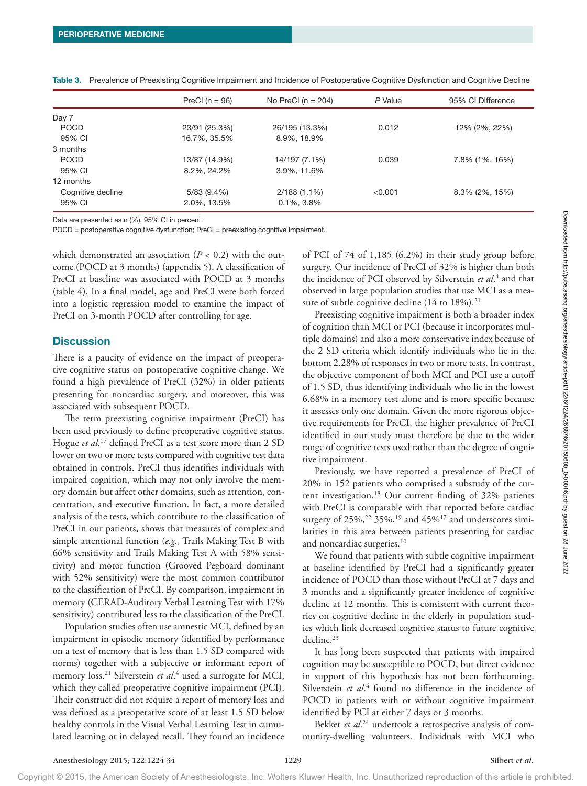|                   | PreCI ( $n = 96$ ) | No PreCl $(n = 204)$ | P Value | 95% CI Difference |
|-------------------|--------------------|----------------------|---------|-------------------|
| Day 7             |                    |                      |         |                   |
| <b>POCD</b>       | 23/91 (25.3%)      | 26/195 (13.3%)       | 0.012   | 12% (2%, 22%)     |
| 95% CI            | 16.7%, 35.5%       | 8.9%, 18.9%          |         |                   |
| 3 months          |                    |                      |         |                   |
| <b>POCD</b>       | 13/87 (14.9%)      | 14/197 (7.1%)        | 0.039   | 7.8% (1%, 16%)    |
| 95% CI            | 8.2%, 24.2%        | 3.9%, 11.6%          |         |                   |
| 12 months         |                    |                      |         |                   |
| Cognitive decline | 5/83(9.4%)         | $2/188(1.1\%)$       | < 0.001 | $8.3\%$ (2%, 15%) |
| 95% CI            | 2.0%, 13.5%        | $0.1\%$ , $3.8\%$    |         |                   |

Table 3. Prevalence of Preexisting Cognitive Impairment and Incidence of Postoperative Cognitive Dysfunction and Cognitive Decline

Data are presented as n (%), 95% CI in percent.

POCD = postoperative cognitive dysfunction; PreCI = preexisting cognitive impairment.

which demonstrated an association  $(P < 0.2)$  with the outcome (POCD at 3 months) (appendix 5). A classification of PreCI at baseline was associated with POCD at 3 months (table 4). In a final model, age and PreCI were both forced into a logistic regression model to examine the impact of PreCI on 3-month POCD after controlling for age.

## **Discussion**

There is a paucity of evidence on the impact of preoperative cognitive status on postoperative cognitive change. We found a high prevalence of PreCI (32%) in older patients presenting for noncardiac surgery, and moreover, this was associated with subsequent POCD.

The term preexisting cognitive impairment (PreCI) has been used previously to define preoperative cognitive status. Hogue *et al*. 17 defined PreCI as a test score more than 2 SD lower on two or more tests compared with cognitive test data obtained in controls. PreCI thus identifies individuals with impaired cognition, which may not only involve the memory domain but affect other domains, such as attention, concentration, and executive function. In fact, a more detailed analysis of the tests, which contribute to the classification of PreCI in our patients, shows that measures of complex and simple attentional function (*e.g.*, Trails Making Test B with 66% sensitivity and Trails Making Test A with 58% sensitivity) and motor function (Grooved Pegboard dominant with 52% sensitivity) were the most common contributor to the classification of PreCI. By comparison, impairment in memory (CERAD-Auditory Verbal Learning Test with 17% sensitivity) contributed less to the classification of the PreCI. Date e possession and 1980 di noces.<br>
COD a nontinente metallicano ( $P$ , co. 2), which the control of PU( $\alpha$  F) di normalisation and the control of the control of the control of the control of the control of the control

Population studies often use amnestic MCI, defined by an impairment in episodic memory (identified by performance on a test of memory that is less than 1.5 SD compared with norms) together with a subjective or informant report of memory loss.<sup>21</sup> Silverstein *et al*.<sup>4</sup> used a surrogate for MCI, which they called preoperative cognitive impairment (PCI). Their construct did not require a report of memory loss and was defined as a preoperative score of at least 1.5 SD below healthy controls in the Visual Verbal Learning Test in cumulated learning or in delayed recall. They found an incidence

of PCI of 74 of 1,185 (6.2%) in their study group before surgery. Our incidence of PreCI of 32% is higher than both the incidence of PCI observed by Silverstein *et al*. 4 and that observed in large population studies that use MCI as a measure of subtle cognitive decline  $(14 \text{ to } 18\%)$ .<sup>21</sup>

Preexisting cognitive impairment is both a broader index of cognition than MCI or PCI (because it incorporates multiple domains) and also a more conservative index because of the 2 SD criteria which identify individuals who lie in the bottom 2.28% of responses in two or more tests. In contrast, the objective component of both MCI and PCI use a cutoff of 1.5 SD, thus identifying individuals who lie in the lowest 6.68% in a memory test alone and is more specific because it assesses only one domain. Given the more rigorous objective requirements for PreCI, the higher prevalence of PreCI identified in our study must therefore be due to the wider range of cognitive tests used rather than the degree of cognitive impairment.

Previously, we have reported a prevalence of PreCI of 20% in 152 patients who comprised a substudy of the current investigation.<sup>18</sup> Our current finding of 32% patients with PreCI is comparable with that reported before cardiac surgery of  $25\%,^{22}$  35%,<sup>19</sup> and  $45\%$ <sup>17</sup> and underscores similarities in this area between patients presenting for cardiac and noncardiac surgeries.<sup>10</sup>

We found that patients with subtle cognitive impairment at baseline identified by PreCI had a significantly greater incidence of POCD than those without PreCI at 7 days and 3 months and a significantly greater incidence of cognitive decline at 12 months. This is consistent with current theories on cognitive decline in the elderly in population studies which link decreased cognitive status to future cognitive decline.<sup>23</sup>

It has long been suspected that patients with impaired cognition may be susceptible to POCD, but direct evidence in support of this hypothesis has not been forthcoming. Silverstein *et al.*<sup>4</sup> found no difference in the incidence of POCD in patients with or without cognitive impairment identified by PCI at either 7 days or 3 months.

Bekker *et al*. 24 undertook a retrospective analysis of community-dwelling volunteers. Individuals with MCI who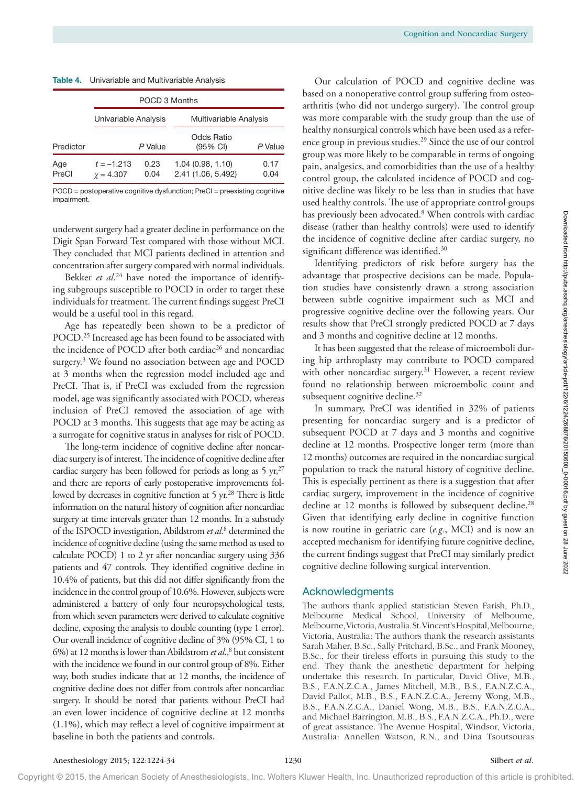|              |                                  | POCD 3 Months |                                        |              |
|--------------|----------------------------------|---------------|----------------------------------------|--------------|
|              | Univariable Analysis             |               | Multivariable Analysis                 |              |
| Predictor    |                                  | P Value       | Odds Ratio<br>$(95% \text{ Cl})$       | P Value      |
| Age<br>PreCl | $t = -1.213$<br>$\gamma = 4.307$ | 0.23<br>0.04  | 1.04(0.98, 1.10)<br>2.41 (1.06, 5.492) | 0.17<br>0.04 |

POCD = postoperative cognitive dysfunction; PreCI = preexisting cognitive impairment.

underwent surgery had a greater decline in performance on the Digit Span Forward Test compared with those without MCI. They concluded that MCI patients declined in attention and concentration after surgery compared with normal individuals.

Bekker *et al*. 24 have noted the importance of identifying subgroups susceptible to POCD in order to target these individuals for treatment. The current findings suggest PreCI would be a useful tool in this regard.

Age has repeatedly been shown to be a predictor of POCD.<sup>25</sup> Increased age has been found to be associated with the incidence of POCD after both cardiac<sup>26</sup> and noncardiac surgery.<sup>3</sup> We found no association between age and POCD at 3 months when the regression model included age and PreCI. That is, if PreCI was excluded from the regression model, age was significantly associated with POCD, whereas inclusion of PreCI removed the association of age with POCD at 3 months. This suggests that age may be acting as a surrogate for cognitive status in analyses for risk of POCD.

The long-term incidence of cognitive decline after noncardiac surgery is of interest. The incidence of cognitive decline after cardiac surgery has been followed for periods as long as  $5 \text{ yr},^{27}$ and there are reports of early postoperative improvements followed by decreases in cognitive function at 5 yr.<sup>28</sup> There is little information on the natural history of cognition after noncardiac surgery at time intervals greater than 12 months. In a substudy of the ISPOCD investigation, Abildstrom et al.<sup>8</sup> determined the incidence of cognitive decline (using the same method as used to calculate POCD) 1 to 2 yr after noncardiac surgery using 336 patients and 47 controls. They identified cognitive decline in 10.4% of patients, but this did not differ significantly from the incidence in the control group of 10.6%. However, subjects were administered a battery of only four neuropsychological tests, from which seven parameters were derived to calculate cognitive decline, exposing the analysis to double counting (type 1 error). Our overall incidence of cognitive decline of 3% (95% CI, 1 to 6%) at 12 months is lower than Abildstrom et al.,<sup>8</sup> but consistent with the incidence we found in our control group of 8%. Either way, both studies indicate that at 12 months, the incidence of cognitive decline does not differ from controls after noncardiac surgery. It should be noted that patients without PreCI had an even lower incidence of cognitive decline at 12 months (1.1%), which may reflect a level of cognitive impairment at baseline in both the patients and controls. underwors super-ball speare dielto in priformance on the district whose simulative one shows that distribute the control of the simulation of the simulation of the simulation of the simulation of the simulation of the sim

Our calculation of POCD and cognitive decline was based on a nonoperative control group suffering from osteoarthritis (who did not undergo surgery). The control group was more comparable with the study group than the use of healthy nonsurgical controls which have been used as a reference group in previous studies.<sup>29</sup> Since the use of our control group was more likely to be comparable in terms of ongoing pain, analgesics, and comorbidities than the use of a healthy control group, the calculated incidence of POCD and cognitive decline was likely to be less than in studies that have used healthy controls. The use of appropriate control groups has previously been advocated.<sup>8</sup> When controls with cardiac disease (rather than healthy controls) were used to identify the incidence of cognitive decline after cardiac surgery, no significant difference was identified.<sup>30</sup>

Identifying predictors of risk before surgery has the advantage that prospective decisions can be made. Population studies have consistently drawn a strong association between subtle cognitive impairment such as MCI and progressive cognitive decline over the following years. Our results show that PreCI strongly predicted POCD at 7 days and 3 months and cognitive decline at 12 months.

It has been suggested that the release of microemboli during hip arthroplasty may contribute to POCD compared with other noncardiac surgery.<sup>31</sup> However, a recent review found no relationship between microembolic count and subsequent cognitive decline.<sup>32</sup>

In summary, PreCI was identified in 32% of patients presenting for noncardiac surgery and is a predictor of subsequent POCD at 7 days and 3 months and cognitive decline at 12 months. Prospective longer term (more than 12 months) outcomes are required in the noncardiac surgical population to track the natural history of cognitive decline. This is especially pertinent as there is a suggestion that after cardiac surgery, improvement in the incidence of cognitive decline at 12 months is followed by subsequent decline.<sup>28</sup> Given that identifying early decline in cognitive function is now routine in geriatric care (*e.g.*, MCI) and is now an accepted mechanism for identifying future cognitive decline, the current findings suggest that PreCI may similarly predict cognitive decline following surgical intervention.

# Acknowledgments

The authors thank applied statistician Steven Farish, Ph.D., Melbourne Medical School, University of Melbourne, Melbourne, Victoria, Australia. St. Vincent's Hospital, Melbourne, Victoria, Australia: The authors thank the research assistants Sarah Maher, B.Sc., Sally Pritchard, B.Sc., and Frank Mooney, B.Sc., for their tireless efforts in pursuing this study to the end. They thank the anesthetic department for helping undertake this research. In particular, David Olive, M.B., B.S., F.A.N.Z.C.A., James Mitchell, M.B., B.S., F.A.N.Z.C.A., David Pallot, M.B., B.S., F.A.N.Z.C.A., Jeremy Wong, M.B., B.S., F.A.N.Z.C.A., Daniel Wong, M.B., B.S., F.A.N.Z.C.A., and Michael Barrington, M.B., B.S., F.A.N.Z.C.A., Ph.D., were of great assistance. The Avenue Hospital, Windsor, Victoria, Australia: Annellen Watson, R.N., and Dina Tsoutsouras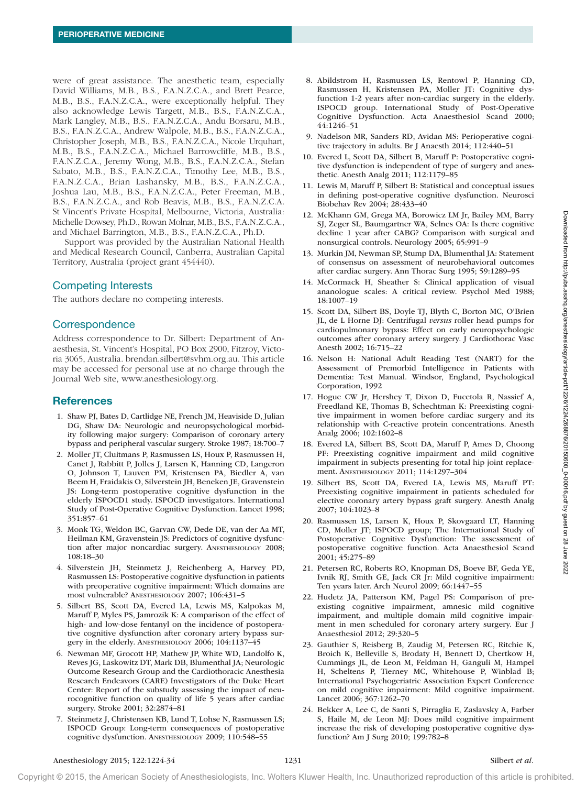were of great assistance. The anesthetic team, especially David Williams, M.B., B.S., F.A.N.Z.C.A., and Brett Pearce, M.B., B.S., F.A.N.Z.C.A., were exceptionally helpful. They also acknowledge Lewis Targett, M.B., B.S., F.A.N.Z.C.A., Mark Langley, M.B., B.S., F.A.N.Z.C.A., Andu Borsaru, M.B., B.S., F.A.N.Z.C.A., Andrew Walpole, M.B., B.S., F.A.N.Z.C.A., Christopher Joseph, M.B., B.S., F.A.N.Z.C.A., Nicole Urquhart, M.B., B.S., F.A.N.Z.C.A., Michael Barrowcliffe, M.B., B.S., F.A.N.Z.C.A., Jeremy Wong, M.B., B.S., F.A.N.Z.C.A., Stefan Sabato, M.B., B.S., F.A.N.Z.C.A., Timothy Lee, M.B., B.S., F.A.N.Z.C.A., Brian Lashansky, M.B., B.S., F.A.N.Z.C.A., Joshua Lau, M.B., B.S., F.A.N.Z.C.A., Peter Freeman, M.B., B.S., F.A.N.Z.C.A., and Rob Beavis, M.B., B.S., F.A.N.Z.C.A. St Vincent's Private Hospital, Melbourne, Victoria, Australia: Michelle Dowsey, Ph.D., Rowan Molnar, M.B., B.S., F.A.N.Z.C.A., and Michael Barrington, M.B., B.S., F.A.N.Z.C.A., Ph.D.

Support was provided by the Australian National Health and Medical Research Council, Canberra, Australian Capital Territory, Australia (project grant 454440).

# Competing Interests

The authors declare no competing interests.

# **Correspondence**

Address correspondence to Dr. Silbert: Department of Anaesthesia, St. Vincent's Hospital, PO Box 2900, Fitzroy, Victoria 3065, Australia. [brendan.silbert@svhm.org.au.](mailto:brendan.silbert@svhm.org.au) This article may be accessed for personal use at no charge through the Journal Web site, [www.anesthesiology.org](http://www.anesthesiology.org).

# **References**

- 1. Shaw PJ, Bates D, Cartlidge NE, French JM, Heaviside D, Julian DG, Shaw DA: Neurologic and neuropsychological morbidity following major surgery: Comparison of coronary artery bypass and peripheral vascular surgery. Stroke 1987; 18:700–7
- 2. Moller JT, Cluitmans P, Rasmussen LS, Houx P, Rasmussen H, Canet J, Rabbitt P, Jolles J, Larsen K, Hanning CD, Langeron O, Johnson T, Lauven PM, Kristensen PA, Biedler A, van Beem H, Fraidakis O, Silverstein JH, Beneken JE, Gravenstein JS: Long-term postoperative cognitive dysfunction in the elderly ISPOCD1 study. ISPOCD investigators. International Study of Post-Operative Cognitive Dysfunction. Lancet 1998; 351:857–61 And hence, that some pair and the content of the state of the state in the state of the state of the state of the state of the state of the state of the state of the state of the state of the state of the state of the sta
	- 3. Monk TG, Weldon BC, Garvan CW, Dede DE, van der Aa MT, Heilman KM, Gravenstein JS: Predictors of cognitive dysfunction after major noncardiac surgery. Anesthesiology 2008; 108:18–30
	- 4. Silverstein JH, Steinmetz J, Reichenberg A, Harvey PD, Rasmussen LS: Postoperative cognitive dysfunction in patients with preoperative cognitive impairment: Which domains are most vulnerable? Anesthesiology 2007; 106:431–5
	- 5. Silbert BS, Scott DA, Evered LA, Lewis MS, Kalpokas M, Maruff P, Myles PS, Jamrozik K: A comparison of the effect of high- and low-dose fentanyl on the incidence of postoperative cognitive dysfunction after coronary artery bypass surgery in the elderly. Anesthesiology 2006; 104:1137–45
	- 6. Newman MF, Grocott HP, Mathew JP, White WD, Landolfo K, Reves JG, Laskowitz DT, Mark DB, Blumenthal JA; Neurologic Outcome Research Group and the Cardiothoracic Anesthesia Research Endeavors (CARE) Investigators of the Duke Heart Center: Report of the substudy assessing the impact of neurocognitive function on quality of life 5 years after cardiac surgery. Stroke 2001; 32:2874–81
	- 7. Steinmetz J, Christensen KB, Lund T, Lohse N, Rasmussen LS; ISPOCD Group: Long-term consequences of postoperative cognitive dysfunction. Anesthesiology 2009; 110:548–55
- 8. Abildstrom H, Rasmussen LS, Rentowl P, Hanning CD, Rasmussen H, Kristensen PA, Moller JT: Cognitive dysfunction 1-2 years after non-cardiac surgery in the elderly. ISPOCD group. International Study of Post-Operative Cognitive Dysfunction. Acta Anaesthesiol Scand 2000; 44:1246–51
- 9. Nadelson MR, Sanders RD, Avidan MS: Perioperative cognitive trajectory in adults. Br J Anaesth 2014; 112:440–51
- 10. Evered L, Scott DA, Silbert B, Maruff P: Postoperative cognitive dysfunction is independent of type of surgery and anesthetic. Anesth Analg 2011; 112:1179–85
- 11. Lewis M, Maruff P, Silbert B: Statistical and conceptual issues in defining post-operative cognitive dysfunction. Neurosci Biobehav Rev 2004; 28:433–40
- 12. McKhann GM, Grega MA, Borowicz LM Jr, Bailey MM, Barry SJ, Zeger SL, Baumgartner WA, Selnes OA: Is there cognitive decline 1 year after CABG? Comparison with surgical and nonsurgical controls. Neurology 2005; 65:991–9
- 13. Murkin JM, Newman SP, Stump DA, Blumenthal JA: Statement of consensus on assessment of neurobehavioral outcomes after cardiac surgery. Ann Thorac Surg 1995; 59:1289–95
- 14. McCormack H, Sheather S: Clinical application of visual ananologue scales: A critical review. Psychol Med 1988; 18:1007–19
- 15. Scott DA, Silbert BS, Doyle TJ, Blyth C, Borton MC, O'Brien JL, de L Horne DJ: Centrifugal *versus* roller head pumps for cardiopulmonary bypass: Effect on early neuropsychologic outcomes after coronary artery surgery. J Cardiothorac Vasc Anesth 2002; 16:715–22
- 16. Nelson H: National Adult Reading Test (NART) for the Assessment of Premorbid Intelligence in Patients with Dementia: Test Manual. Windsor, England, Psychological Corporation, 1992
- 17. Hogue CW Jr, Hershey T, Dixon D, Fucetola R, Nassief A, Freedland KE, Thomas B, Schechtman K: Preexisting cognitive impairment in women before cardiac surgery and its relationship with C-reactive protein concentrations. Anesth Analg 2006; 102:1602–8
- 18. Evered LA, Silbert BS, Scott DA, Maruff P, Ames D, Choong PF: Preexisting cognitive impairment and mild cognitive impairment in subjects presenting for total hip joint replacement. Anesthesiology 2011; 114:1297–304
- 19. Silbert BS, Scott DA, Evered LA, Lewis MS, Maruff PT: Preexisting cognitive impairment in patients scheduled for elective coronary artery bypass graft surgery. Anesth Analg 2007; 104:1023–8
- 20. Rasmussen LS, Larsen K, Houx P, Skovgaard LT, Hanning CD, Moller JT; ISPOCD group; The International Study of Postoperative Cognitive Dysfunction: The assessment of postoperative cognitive function. Acta Anaesthesiol Scand 2001; 45:275–89
- 21. Petersen RC, Roberts RO, Knopman DS, Boeve BF, Geda YE, Ivnik RJ, Smith GE, Jack CR Jr: Mild cognitive impairment: Ten years later. Arch Neurol 2009; 66:1447–55
- 22. Hudetz JA, Patterson KM, Pagel PS: Comparison of preexisting cognitive impairment, amnesic mild cognitive impairment, and multiple domain mild cognitive impairment in men scheduled for coronary artery surgery. Eur J Anaesthesiol 2012; 29:320–5
- 23. Gauthier S, Reisberg B, Zaudig M, Petersen RC, Ritchie K, Broich K, Belleville S, Brodaty H, Bennett D, Chertkow H, Cummings JL, de Leon M, Feldman H, Ganguli M, Hampel H, Scheltens P, Tierney MC, Whitehouse P, Winblad B; International Psychogeriatric Association Expert Conference on mild cognitive impairment: Mild cognitive impairment. Lancet 2006; 367:1262–70
- 24. Bekker A, Lee C, de Santi S, Pirraglia E, Zaslavsky A, Farber S, Haile M, de Leon MJ: Does mild cognitive impairment increase the risk of developing postoperative cognitive dysfunction? Am J Surg 2010; 199:782–8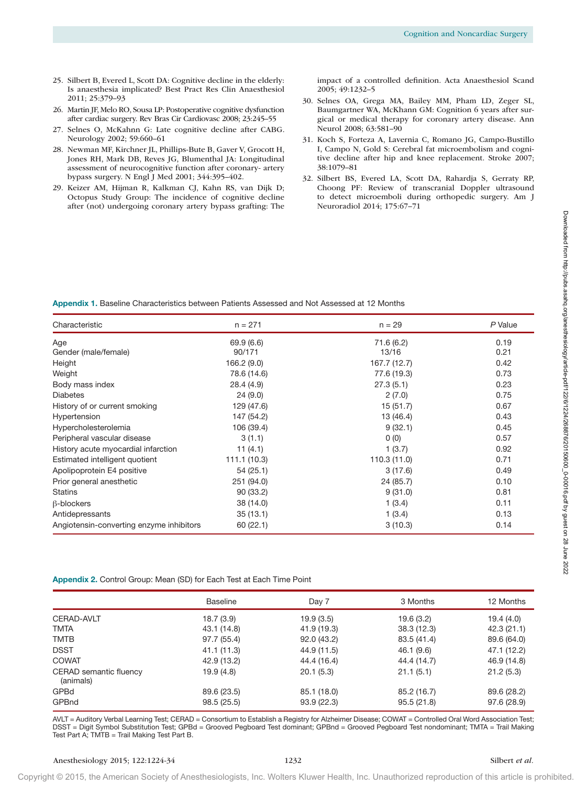- 25. Silbert B, Evered L, Scott DA: Cognitive decline in the elderly: Is anaesthesia implicated? Best Pract Res Clin Anaesthesiol 2011; 25:379–93
- 26. Martin JF, Melo RO, Sousa LP: Postoperative cognitive dysfunction after cardiac surgery. Rev Bras Cir Cardiovasc 2008; 23:245–55
- 27. Selnes O, McKahnn G: Late cognitive decline after CABG. Neurology 2002; 59:660–61
- 28. Newman MF, Kirchner JL, Phillips-Bute B, Gaver V, Grocott H, Jones RH, Mark DB, Reves JG, Blumenthal JA: Longitudinal assessment of neurocognitive function after coronary- artery bypass surgery. N Engl J Med 2001; 344:395–402.
- 29. Keizer AM, Hijman R, Kalkman CJ, Kahn RS, van Dijk D; Octopus Study Group: The incidence of cognitive decline after (not) undergoing coronary artery bypass grafting: The

impact of a controlled definition. Acta Anaesthesiol Scand 2005; 49:1232–5

- 30. Selnes OA, Grega MA, Bailey MM, Pham LD, Zeger SL, Baumgartner WA, McKhann GM: Cognition 6 years after surgical or medical therapy for coronary artery disease. Ann Neurol 2008; 63:581–90
- 31. Koch S, Forteza A, Lavernia C, Romano JG, Campo-Bustillo I, Campo N, Gold S: Cerebral fat microembolism and cognitive decline after hip and knee replacement. Stroke 2007; 38:1079–81
- 32. Silbert BS, Evered LA, Scott DA, Rahardja S, Gerraty RP, Choong PF: Review of transcranial Doppler ultrasound to detect microemboli during orthopedic surgery. Am J Neuroradiol 2014; 175:67–71

| Characteristic                                                        |                            |                            |                            |                            |
|-----------------------------------------------------------------------|----------------------------|----------------------------|----------------------------|----------------------------|
|                                                                       | $n = 271$                  |                            | $n = 29$                   | P Value                    |
| Age                                                                   | 69.9 (6.6)                 |                            | 71.6 (6.2)                 | 0.19                       |
| Gender (male/female)                                                  | 90/171                     |                            | 13/16                      | 0.21                       |
| Height                                                                | 166.2 (9.0)                |                            | 167.7 (12.7)               | 0.42                       |
| Weight                                                                | 78.6 (14.6)                |                            | 77.6 (19.3)                | 0.73                       |
| Body mass index                                                       | 28.4 (4.9)                 |                            | 27.3(5.1)                  | 0.23                       |
| <b>Diabetes</b>                                                       | 24(9.0)                    |                            | 2(7.0)                     | 0.75                       |
| History of or current smoking                                         | 129 (47.6)                 |                            | 15 (51.7)                  | 0.67                       |
| Hypertension                                                          | 147 (54.2)                 |                            | 13 (46.4)                  | 0.43                       |
| Hypercholesterolemia                                                  | 106 (39.4)                 |                            | 9(32.1)                    | 0.45                       |
| Peripheral vascular disease                                           | 3(1.1)                     |                            | 0(0)                       | 0.57                       |
| History acute myocardial infarction                                   | 11 $(4.1)$                 |                            | 1(3.7)                     | 0.92                       |
| Estimated intelligent quotient                                        | 111.1 (10.3)               |                            | 110.3 (11.0)               | 0.71                       |
| Apolipoprotein E4 positive                                            | 54(25.1)                   |                            | 3(17.6)                    | 0.49                       |
| Prior general anesthetic                                              | 251 (94.0)                 |                            | 24 (85.7)                  | 0.10                       |
| <b>Statins</b>                                                        | 90 (33.2)                  |                            | 9(31.0)                    | 0.81                       |
| <b>ß-blockers</b>                                                     | 38 (14.0)                  |                            | 1(3.4)                     | 0.11                       |
| Antidepressants<br>Angiotensin-converting enzyme inhibitors           | 35(13.1)<br>60 (22.1)      |                            | 1(3.4)<br>3(10.3)          | 0.13<br>0.14               |
|                                                                       |                            |                            |                            |                            |
| Appendix 2. Control Group: Mean (SD) for Each Test at Each Time Point | <b>Baseline</b>            | Day 7                      | 3 Months                   | 12 Months                  |
|                                                                       | 18.7(3.9)                  | 19.9(3.5)                  | 19.6(3.2)                  | 19.4(4.0)                  |
| CERAD-AVLT                                                            |                            |                            | 38.3 (12.3)                | 42.3(21.1)                 |
|                                                                       | 43.1 (14.8)                | 41.9 (19.3)                |                            |                            |
| <b>TMTA</b><br><b>TMTB</b>                                            | 97.7 (55.4)                | 92.0 (43.2)                | 83.5 (41.4)                | 89.6 (64.0)                |
| <b>DSST</b>                                                           | 41.1 (11.3)                | 44.9 (11.5)                | 46.1 (9.6)                 | 47.1 (12.2)                |
|                                                                       | 42.9 (13.2)                | 44.4 (16.4)                | 44.4 (14.7)                | 46.9 (14.8)                |
| (animals)                                                             | 19.9(4.8)                  | 20.1(5.3)                  | 21.1(5.1)                  | 21.2(5.3)                  |
| <b>COWAT</b><br>CERAD semantic fluency<br>GPBd<br>GPBnd               | 89.6 (23.5)<br>98.5 (25.5) | 85.1 (18.0)<br>93.9 (22.3) | 85.2 (16.7)<br>95.5 (21.8) | 89.6 (28.2)<br>97.6 (28.9) |

|                                     | <b>Baseline</b> | Day 7       | 3 Months    | 12 Months   |
|-------------------------------------|-----------------|-------------|-------------|-------------|
| <b>CERAD-AVLT</b>                   | 18.7(3.9)       | 19.9(3.5)   | 19.6(3.2)   | 19.4(4.0)   |
| <b>TMTA</b>                         | 43.1 (14.8)     | 41.9 (19.3) | 38.3(12.3)  | 42.3(21.1)  |
| <b>TMTB</b>                         | 97.7 (55.4)     | 92.0 (43.2) | 83.5 (41.4) | 89.6 (64.0) |
| <b>DSST</b>                         | 41.1 (11.3)     | 44.9 (11.5) | 46.1(9.6)   | 47.1 (12.2) |
| <b>COWAT</b>                        | 42.9 (13.2)     | 44.4 (16.4) | 44.4 (14.7) | 46.9 (14.8) |
| CERAD semantic fluency<br>(animals) | 19.9(4.8)       | 20.1(5.3)   | 21.1(5.1)   | 21.2(5.3)   |
| GPBd                                | 89.6 (23.5)     | 85.1 (18.0) | 85.2 (16.7) | 89.6 (28.2) |
| GPBnd                               | 98.5(25.5)      | 93.9(22.3)  | 95.5(21.8)  | 97.6 (28.9) |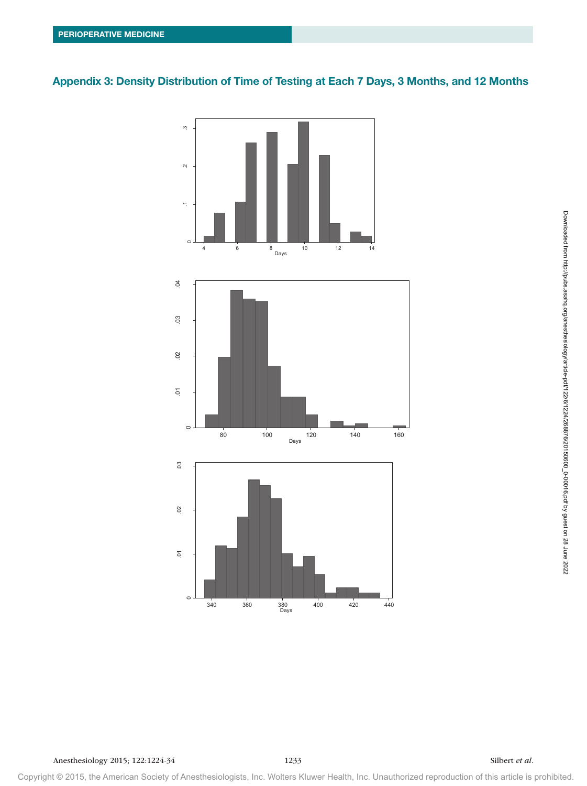# Appendix 3: Density Distribution of Time of Testing at Each 7 Days, 3 Months, and 12 Months



Anesthesiology 2015; 122:1224-34 1233 Silbert *et al.*